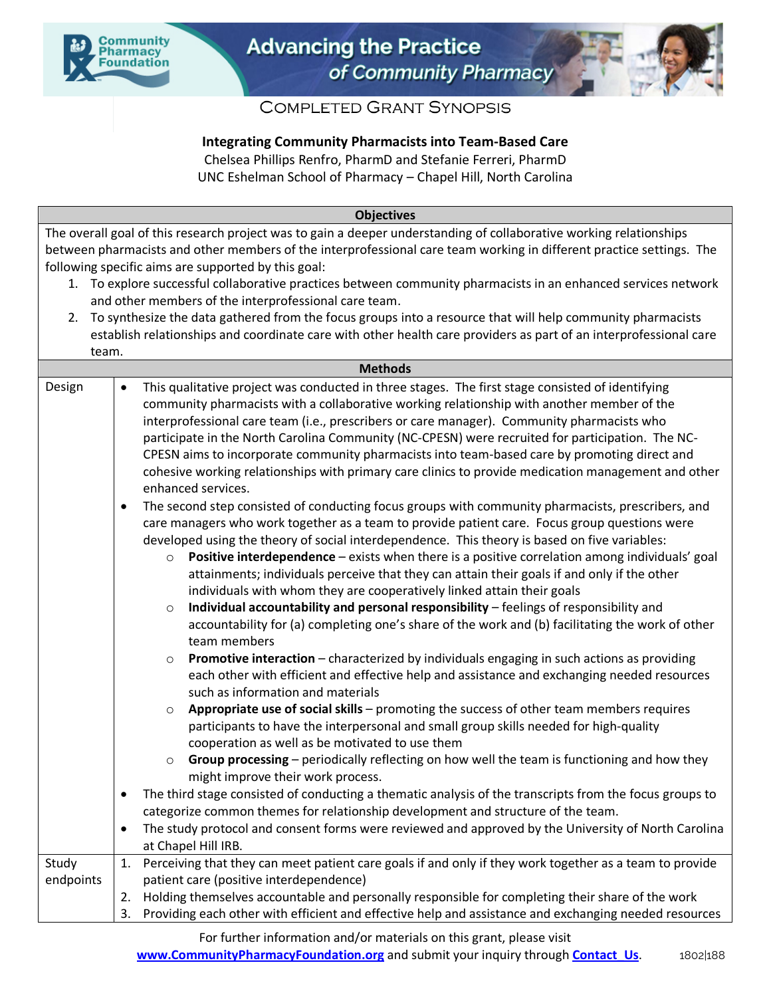



# **COMPLETED GRANT SYNOPSIS**

## **Integrating Community Pharmacists into Team-Based Care**

Chelsea Phillips Renfro, PharmD and Stefanie Ferreri, PharmD

UNC Eshelman School of Pharmacy – Chapel Hill, North Carolina

| The overall goal of this research project was to gain a deeper understanding of collaborative working relationships<br>between pharmacists and other members of the interprofessional care team working in different practice settings. The<br>following specific aims are supported by this goal:<br>1. To explore successful collaborative practices between community pharmacists in an enhanced services network<br>and other members of the interprofessional care team.<br>2. To synthesize the data gathered from the focus groups into a resource that will help community pharmacists<br>establish relationships and coordinate care with other health care providers as part of an interprofessional care<br>team.<br><b>Methods</b><br>This qualitative project was conducted in three stages. The first stage consisted of identifying<br>Design<br>$\bullet$<br>community pharmacists with a collaborative working relationship with another member of the<br>interprofessional care team (i.e., prescribers or care manager). Community pharmacists who<br>participate in the North Carolina Community (NC-CPESN) were recruited for participation. The NC-<br>CPESN aims to incorporate community pharmacists into team-based care by promoting direct and<br>cohesive working relationships with primary care clinics to provide medication management and other<br>enhanced services.<br>The second step consisted of conducting focus groups with community pharmacists, prescribers, and<br>$\bullet$<br>care managers who work together as a team to provide patient care. Focus group questions were<br>developed using the theory of social interdependence. This theory is based on five variables:<br>Positive interdependence - exists when there is a positive correlation among individuals' goal<br>$\circ$<br>attainments; individuals perceive that they can attain their goals if and only if the other<br>individuals with whom they are cooperatively linked attain their goals<br>Individual accountability and personal responsibility - feelings of responsibility and<br>$\circ$<br>accountability for (a) completing one's share of the work and (b) facilitating the work of other<br>team members<br>Promotive interaction - characterized by individuals engaging in such actions as providing<br>$\circ$<br>each other with efficient and effective help and assistance and exchanging needed resources<br>such as information and materials<br>Appropriate use of social skills - promoting the success of other team members requires<br>$\circ$<br>participants to have the interpersonal and small group skills needed for high-quality<br>cooperation as well as be motivated to use them<br>Group processing - periodically reflecting on how well the team is functioning and how they<br>$\circ$ |
|----------------------------------------------------------------------------------------------------------------------------------------------------------------------------------------------------------------------------------------------------------------------------------------------------------------------------------------------------------------------------------------------------------------------------------------------------------------------------------------------------------------------------------------------------------------------------------------------------------------------------------------------------------------------------------------------------------------------------------------------------------------------------------------------------------------------------------------------------------------------------------------------------------------------------------------------------------------------------------------------------------------------------------------------------------------------------------------------------------------------------------------------------------------------------------------------------------------------------------------------------------------------------------------------------------------------------------------------------------------------------------------------------------------------------------------------------------------------------------------------------------------------------------------------------------------------------------------------------------------------------------------------------------------------------------------------------------------------------------------------------------------------------------------------------------------------------------------------------------------------------------------------------------------------------------------------------------------------------------------------------------------------------------------------------------------------------------------------------------------------------------------------------------------------------------------------------------------------------------------------------------------------------------------------------------------------------------------------------------------------------------------------------------------------------------------------------------------------------------------------------------------------------------------------------------------------------------------------------------------------------------------------------------------------------------------------------------------------------------------------------------------------------------------------------------------------------------------------------|
|                                                                                                                                                                                                                                                                                                                                                                                                                                                                                                                                                                                                                                                                                                                                                                                                                                                                                                                                                                                                                                                                                                                                                                                                                                                                                                                                                                                                                                                                                                                                                                                                                                                                                                                                                                                                                                                                                                                                                                                                                                                                                                                                                                                                                                                                                                                                                                                                                                                                                                                                                                                                                                                                                                                                                                                                                                                    |
|                                                                                                                                                                                                                                                                                                                                                                                                                                                                                                                                                                                                                                                                                                                                                                                                                                                                                                                                                                                                                                                                                                                                                                                                                                                                                                                                                                                                                                                                                                                                                                                                                                                                                                                                                                                                                                                                                                                                                                                                                                                                                                                                                                                                                                                                                                                                                                                                                                                                                                                                                                                                                                                                                                                                                                                                                                                    |
|                                                                                                                                                                                                                                                                                                                                                                                                                                                                                                                                                                                                                                                                                                                                                                                                                                                                                                                                                                                                                                                                                                                                                                                                                                                                                                                                                                                                                                                                                                                                                                                                                                                                                                                                                                                                                                                                                                                                                                                                                                                                                                                                                                                                                                                                                                                                                                                                                                                                                                                                                                                                                                                                                                                                                                                                                                                    |
|                                                                                                                                                                                                                                                                                                                                                                                                                                                                                                                                                                                                                                                                                                                                                                                                                                                                                                                                                                                                                                                                                                                                                                                                                                                                                                                                                                                                                                                                                                                                                                                                                                                                                                                                                                                                                                                                                                                                                                                                                                                                                                                                                                                                                                                                                                                                                                                                                                                                                                                                                                                                                                                                                                                                                                                                                                                    |
|                                                                                                                                                                                                                                                                                                                                                                                                                                                                                                                                                                                                                                                                                                                                                                                                                                                                                                                                                                                                                                                                                                                                                                                                                                                                                                                                                                                                                                                                                                                                                                                                                                                                                                                                                                                                                                                                                                                                                                                                                                                                                                                                                                                                                                                                                                                                                                                                                                                                                                                                                                                                                                                                                                                                                                                                                                                    |
|                                                                                                                                                                                                                                                                                                                                                                                                                                                                                                                                                                                                                                                                                                                                                                                                                                                                                                                                                                                                                                                                                                                                                                                                                                                                                                                                                                                                                                                                                                                                                                                                                                                                                                                                                                                                                                                                                                                                                                                                                                                                                                                                                                                                                                                                                                                                                                                                                                                                                                                                                                                                                                                                                                                                                                                                                                                    |
|                                                                                                                                                                                                                                                                                                                                                                                                                                                                                                                                                                                                                                                                                                                                                                                                                                                                                                                                                                                                                                                                                                                                                                                                                                                                                                                                                                                                                                                                                                                                                                                                                                                                                                                                                                                                                                                                                                                                                                                                                                                                                                                                                                                                                                                                                                                                                                                                                                                                                                                                                                                                                                                                                                                                                                                                                                                    |
|                                                                                                                                                                                                                                                                                                                                                                                                                                                                                                                                                                                                                                                                                                                                                                                                                                                                                                                                                                                                                                                                                                                                                                                                                                                                                                                                                                                                                                                                                                                                                                                                                                                                                                                                                                                                                                                                                                                                                                                                                                                                                                                                                                                                                                                                                                                                                                                                                                                                                                                                                                                                                                                                                                                                                                                                                                                    |
|                                                                                                                                                                                                                                                                                                                                                                                                                                                                                                                                                                                                                                                                                                                                                                                                                                                                                                                                                                                                                                                                                                                                                                                                                                                                                                                                                                                                                                                                                                                                                                                                                                                                                                                                                                                                                                                                                                                                                                                                                                                                                                                                                                                                                                                                                                                                                                                                                                                                                                                                                                                                                                                                                                                                                                                                                                                    |
|                                                                                                                                                                                                                                                                                                                                                                                                                                                                                                                                                                                                                                                                                                                                                                                                                                                                                                                                                                                                                                                                                                                                                                                                                                                                                                                                                                                                                                                                                                                                                                                                                                                                                                                                                                                                                                                                                                                                                                                                                                                                                                                                                                                                                                                                                                                                                                                                                                                                                                                                                                                                                                                                                                                                                                                                                                                    |
|                                                                                                                                                                                                                                                                                                                                                                                                                                                                                                                                                                                                                                                                                                                                                                                                                                                                                                                                                                                                                                                                                                                                                                                                                                                                                                                                                                                                                                                                                                                                                                                                                                                                                                                                                                                                                                                                                                                                                                                                                                                                                                                                                                                                                                                                                                                                                                                                                                                                                                                                                                                                                                                                                                                                                                                                                                                    |
|                                                                                                                                                                                                                                                                                                                                                                                                                                                                                                                                                                                                                                                                                                                                                                                                                                                                                                                                                                                                                                                                                                                                                                                                                                                                                                                                                                                                                                                                                                                                                                                                                                                                                                                                                                                                                                                                                                                                                                                                                                                                                                                                                                                                                                                                                                                                                                                                                                                                                                                                                                                                                                                                                                                                                                                                                                                    |
|                                                                                                                                                                                                                                                                                                                                                                                                                                                                                                                                                                                                                                                                                                                                                                                                                                                                                                                                                                                                                                                                                                                                                                                                                                                                                                                                                                                                                                                                                                                                                                                                                                                                                                                                                                                                                                                                                                                                                                                                                                                                                                                                                                                                                                                                                                                                                                                                                                                                                                                                                                                                                                                                                                                                                                                                                                                    |
|                                                                                                                                                                                                                                                                                                                                                                                                                                                                                                                                                                                                                                                                                                                                                                                                                                                                                                                                                                                                                                                                                                                                                                                                                                                                                                                                                                                                                                                                                                                                                                                                                                                                                                                                                                                                                                                                                                                                                                                                                                                                                                                                                                                                                                                                                                                                                                                                                                                                                                                                                                                                                                                                                                                                                                                                                                                    |
|                                                                                                                                                                                                                                                                                                                                                                                                                                                                                                                                                                                                                                                                                                                                                                                                                                                                                                                                                                                                                                                                                                                                                                                                                                                                                                                                                                                                                                                                                                                                                                                                                                                                                                                                                                                                                                                                                                                                                                                                                                                                                                                                                                                                                                                                                                                                                                                                                                                                                                                                                                                                                                                                                                                                                                                                                                                    |
|                                                                                                                                                                                                                                                                                                                                                                                                                                                                                                                                                                                                                                                                                                                                                                                                                                                                                                                                                                                                                                                                                                                                                                                                                                                                                                                                                                                                                                                                                                                                                                                                                                                                                                                                                                                                                                                                                                                                                                                                                                                                                                                                                                                                                                                                                                                                                                                                                                                                                                                                                                                                                                                                                                                                                                                                                                                    |
|                                                                                                                                                                                                                                                                                                                                                                                                                                                                                                                                                                                                                                                                                                                                                                                                                                                                                                                                                                                                                                                                                                                                                                                                                                                                                                                                                                                                                                                                                                                                                                                                                                                                                                                                                                                                                                                                                                                                                                                                                                                                                                                                                                                                                                                                                                                                                                                                                                                                                                                                                                                                                                                                                                                                                                                                                                                    |
|                                                                                                                                                                                                                                                                                                                                                                                                                                                                                                                                                                                                                                                                                                                                                                                                                                                                                                                                                                                                                                                                                                                                                                                                                                                                                                                                                                                                                                                                                                                                                                                                                                                                                                                                                                                                                                                                                                                                                                                                                                                                                                                                                                                                                                                                                                                                                                                                                                                                                                                                                                                                                                                                                                                                                                                                                                                    |
|                                                                                                                                                                                                                                                                                                                                                                                                                                                                                                                                                                                                                                                                                                                                                                                                                                                                                                                                                                                                                                                                                                                                                                                                                                                                                                                                                                                                                                                                                                                                                                                                                                                                                                                                                                                                                                                                                                                                                                                                                                                                                                                                                                                                                                                                                                                                                                                                                                                                                                                                                                                                                                                                                                                                                                                                                                                    |
|                                                                                                                                                                                                                                                                                                                                                                                                                                                                                                                                                                                                                                                                                                                                                                                                                                                                                                                                                                                                                                                                                                                                                                                                                                                                                                                                                                                                                                                                                                                                                                                                                                                                                                                                                                                                                                                                                                                                                                                                                                                                                                                                                                                                                                                                                                                                                                                                                                                                                                                                                                                                                                                                                                                                                                                                                                                    |
|                                                                                                                                                                                                                                                                                                                                                                                                                                                                                                                                                                                                                                                                                                                                                                                                                                                                                                                                                                                                                                                                                                                                                                                                                                                                                                                                                                                                                                                                                                                                                                                                                                                                                                                                                                                                                                                                                                                                                                                                                                                                                                                                                                                                                                                                                                                                                                                                                                                                                                                                                                                                                                                                                                                                                                                                                                                    |
|                                                                                                                                                                                                                                                                                                                                                                                                                                                                                                                                                                                                                                                                                                                                                                                                                                                                                                                                                                                                                                                                                                                                                                                                                                                                                                                                                                                                                                                                                                                                                                                                                                                                                                                                                                                                                                                                                                                                                                                                                                                                                                                                                                                                                                                                                                                                                                                                                                                                                                                                                                                                                                                                                                                                                                                                                                                    |
|                                                                                                                                                                                                                                                                                                                                                                                                                                                                                                                                                                                                                                                                                                                                                                                                                                                                                                                                                                                                                                                                                                                                                                                                                                                                                                                                                                                                                                                                                                                                                                                                                                                                                                                                                                                                                                                                                                                                                                                                                                                                                                                                                                                                                                                                                                                                                                                                                                                                                                                                                                                                                                                                                                                                                                                                                                                    |
|                                                                                                                                                                                                                                                                                                                                                                                                                                                                                                                                                                                                                                                                                                                                                                                                                                                                                                                                                                                                                                                                                                                                                                                                                                                                                                                                                                                                                                                                                                                                                                                                                                                                                                                                                                                                                                                                                                                                                                                                                                                                                                                                                                                                                                                                                                                                                                                                                                                                                                                                                                                                                                                                                                                                                                                                                                                    |
|                                                                                                                                                                                                                                                                                                                                                                                                                                                                                                                                                                                                                                                                                                                                                                                                                                                                                                                                                                                                                                                                                                                                                                                                                                                                                                                                                                                                                                                                                                                                                                                                                                                                                                                                                                                                                                                                                                                                                                                                                                                                                                                                                                                                                                                                                                                                                                                                                                                                                                                                                                                                                                                                                                                                                                                                                                                    |
|                                                                                                                                                                                                                                                                                                                                                                                                                                                                                                                                                                                                                                                                                                                                                                                                                                                                                                                                                                                                                                                                                                                                                                                                                                                                                                                                                                                                                                                                                                                                                                                                                                                                                                                                                                                                                                                                                                                                                                                                                                                                                                                                                                                                                                                                                                                                                                                                                                                                                                                                                                                                                                                                                                                                                                                                                                                    |
|                                                                                                                                                                                                                                                                                                                                                                                                                                                                                                                                                                                                                                                                                                                                                                                                                                                                                                                                                                                                                                                                                                                                                                                                                                                                                                                                                                                                                                                                                                                                                                                                                                                                                                                                                                                                                                                                                                                                                                                                                                                                                                                                                                                                                                                                                                                                                                                                                                                                                                                                                                                                                                                                                                                                                                                                                                                    |
|                                                                                                                                                                                                                                                                                                                                                                                                                                                                                                                                                                                                                                                                                                                                                                                                                                                                                                                                                                                                                                                                                                                                                                                                                                                                                                                                                                                                                                                                                                                                                                                                                                                                                                                                                                                                                                                                                                                                                                                                                                                                                                                                                                                                                                                                                                                                                                                                                                                                                                                                                                                                                                                                                                                                                                                                                                                    |
|                                                                                                                                                                                                                                                                                                                                                                                                                                                                                                                                                                                                                                                                                                                                                                                                                                                                                                                                                                                                                                                                                                                                                                                                                                                                                                                                                                                                                                                                                                                                                                                                                                                                                                                                                                                                                                                                                                                                                                                                                                                                                                                                                                                                                                                                                                                                                                                                                                                                                                                                                                                                                                                                                                                                                                                                                                                    |
|                                                                                                                                                                                                                                                                                                                                                                                                                                                                                                                                                                                                                                                                                                                                                                                                                                                                                                                                                                                                                                                                                                                                                                                                                                                                                                                                                                                                                                                                                                                                                                                                                                                                                                                                                                                                                                                                                                                                                                                                                                                                                                                                                                                                                                                                                                                                                                                                                                                                                                                                                                                                                                                                                                                                                                                                                                                    |
|                                                                                                                                                                                                                                                                                                                                                                                                                                                                                                                                                                                                                                                                                                                                                                                                                                                                                                                                                                                                                                                                                                                                                                                                                                                                                                                                                                                                                                                                                                                                                                                                                                                                                                                                                                                                                                                                                                                                                                                                                                                                                                                                                                                                                                                                                                                                                                                                                                                                                                                                                                                                                                                                                                                                                                                                                                                    |
|                                                                                                                                                                                                                                                                                                                                                                                                                                                                                                                                                                                                                                                                                                                                                                                                                                                                                                                                                                                                                                                                                                                                                                                                                                                                                                                                                                                                                                                                                                                                                                                                                                                                                                                                                                                                                                                                                                                                                                                                                                                                                                                                                                                                                                                                                                                                                                                                                                                                                                                                                                                                                                                                                                                                                                                                                                                    |
|                                                                                                                                                                                                                                                                                                                                                                                                                                                                                                                                                                                                                                                                                                                                                                                                                                                                                                                                                                                                                                                                                                                                                                                                                                                                                                                                                                                                                                                                                                                                                                                                                                                                                                                                                                                                                                                                                                                                                                                                                                                                                                                                                                                                                                                                                                                                                                                                                                                                                                                                                                                                                                                                                                                                                                                                                                                    |
| might improve their work process.                                                                                                                                                                                                                                                                                                                                                                                                                                                                                                                                                                                                                                                                                                                                                                                                                                                                                                                                                                                                                                                                                                                                                                                                                                                                                                                                                                                                                                                                                                                                                                                                                                                                                                                                                                                                                                                                                                                                                                                                                                                                                                                                                                                                                                                                                                                                                                                                                                                                                                                                                                                                                                                                                                                                                                                                                  |
| The third stage consisted of conducting a thematic analysis of the transcripts from the focus groups to<br>$\bullet$                                                                                                                                                                                                                                                                                                                                                                                                                                                                                                                                                                                                                                                                                                                                                                                                                                                                                                                                                                                                                                                                                                                                                                                                                                                                                                                                                                                                                                                                                                                                                                                                                                                                                                                                                                                                                                                                                                                                                                                                                                                                                                                                                                                                                                                                                                                                                                                                                                                                                                                                                                                                                                                                                                                               |
| categorize common themes for relationship development and structure of the team.                                                                                                                                                                                                                                                                                                                                                                                                                                                                                                                                                                                                                                                                                                                                                                                                                                                                                                                                                                                                                                                                                                                                                                                                                                                                                                                                                                                                                                                                                                                                                                                                                                                                                                                                                                                                                                                                                                                                                                                                                                                                                                                                                                                                                                                                                                                                                                                                                                                                                                                                                                                                                                                                                                                                                                   |
| The study protocol and consent forms were reviewed and approved by the University of North Carolina<br>$\bullet$                                                                                                                                                                                                                                                                                                                                                                                                                                                                                                                                                                                                                                                                                                                                                                                                                                                                                                                                                                                                                                                                                                                                                                                                                                                                                                                                                                                                                                                                                                                                                                                                                                                                                                                                                                                                                                                                                                                                                                                                                                                                                                                                                                                                                                                                                                                                                                                                                                                                                                                                                                                                                                                                                                                                   |
| at Chapel Hill IRB.                                                                                                                                                                                                                                                                                                                                                                                                                                                                                                                                                                                                                                                                                                                                                                                                                                                                                                                                                                                                                                                                                                                                                                                                                                                                                                                                                                                                                                                                                                                                                                                                                                                                                                                                                                                                                                                                                                                                                                                                                                                                                                                                                                                                                                                                                                                                                                                                                                                                                                                                                                                                                                                                                                                                                                                                                                |
| Perceiving that they can meet patient care goals if and only if they work together as a team to provide<br>Study<br>1.                                                                                                                                                                                                                                                                                                                                                                                                                                                                                                                                                                                                                                                                                                                                                                                                                                                                                                                                                                                                                                                                                                                                                                                                                                                                                                                                                                                                                                                                                                                                                                                                                                                                                                                                                                                                                                                                                                                                                                                                                                                                                                                                                                                                                                                                                                                                                                                                                                                                                                                                                                                                                                                                                                                             |
| patient care (positive interdependence)<br>endpoints                                                                                                                                                                                                                                                                                                                                                                                                                                                                                                                                                                                                                                                                                                                                                                                                                                                                                                                                                                                                                                                                                                                                                                                                                                                                                                                                                                                                                                                                                                                                                                                                                                                                                                                                                                                                                                                                                                                                                                                                                                                                                                                                                                                                                                                                                                                                                                                                                                                                                                                                                                                                                                                                                                                                                                                               |
| Holding themselves accountable and personally responsible for completing their share of the work<br>2.                                                                                                                                                                                                                                                                                                                                                                                                                                                                                                                                                                                                                                                                                                                                                                                                                                                                                                                                                                                                                                                                                                                                                                                                                                                                                                                                                                                                                                                                                                                                                                                                                                                                                                                                                                                                                                                                                                                                                                                                                                                                                                                                                                                                                                                                                                                                                                                                                                                                                                                                                                                                                                                                                                                                             |
| Providing each other with efficient and effective help and assistance and exchanging needed resources<br>3.                                                                                                                                                                                                                                                                                                                                                                                                                                                                                                                                                                                                                                                                                                                                                                                                                                                                                                                                                                                                                                                                                                                                                                                                                                                                                                                                                                                                                                                                                                                                                                                                                                                                                                                                                                                                                                                                                                                                                                                                                                                                                                                                                                                                                                                                                                                                                                                                                                                                                                                                                                                                                                                                                                                                        |

For further information and/or materials on this grant, please visit **www.CommunityPharmacyFoundation.org** and submit your inquiry through **Contact\_Us.** 1802|188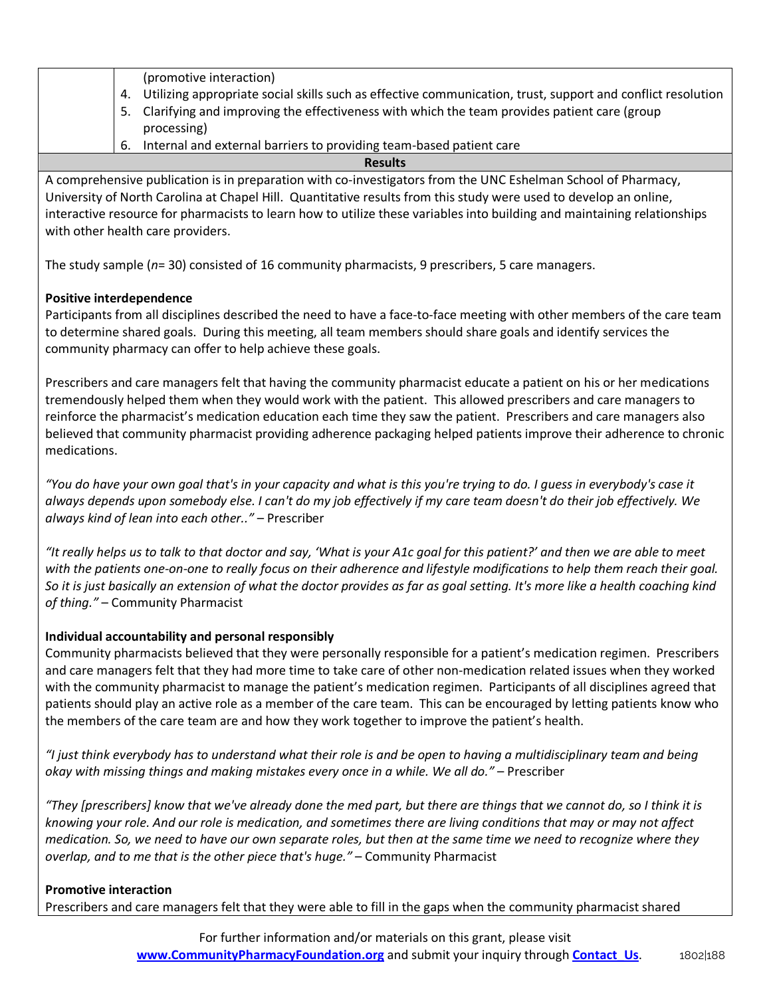|    | (promotive interaction)                                                                                     |  |
|----|-------------------------------------------------------------------------------------------------------------|--|
| 4. | Utilizing appropriate social skills such as effective communication, trust, support and conflict resolution |  |
|    | 5. Clarifying and improving the effectiveness with which the team provides patient care (group              |  |
|    | processing)                                                                                                 |  |
| 6. | Internal and external barriers to providing team-based patient care                                         |  |
|    |                                                                                                             |  |

**Results**

A comprehensive publication is in preparation with co-investigators from the UNC Eshelman School of Pharmacy, University of North Carolina at Chapel Hill. Quantitative results from this study were used to develop an online, interactive resource for pharmacists to learn how to utilize these variables into building and maintaining relationships with other health care providers.

The study sample (*n*= 30) consisted of 16 community pharmacists, 9 prescribers, 5 care managers.

## **Positive interdependence**

Participants from all disciplines described the need to have a face-to-face meeting with other members of the care team to determine shared goals. During this meeting, all team members should share goals and identify services the community pharmacy can offer to help achieve these goals.

Prescribers and care managers felt that having the community pharmacist educate a patient on his or her medications tremendously helped them when they would work with the patient. This allowed prescribers and care managers to reinforce the pharmacist's medication education each time they saw the patient. Prescribers and care managers also believed that community pharmacist providing adherence packaging helped patients improve their adherence to chronic medications.

*"You do have your own goal that's in your capacity and what is this you're trying to do. I guess in everybody's case it always depends upon somebody else. I can't do my job effectively if my care team doesn't do their job effectively. We always kind of lean into each other.."* – Prescriber

*"It really helps us to talk to that doctor and say, 'What is your A1c goal for this patient?' and then we are able to meet with the patients one-on-one to really focus on their adherence and lifestyle modifications to help them reach their goal. So it is just basically an extension of what the doctor provides as far as goal setting. It's more like a health coaching kind of thing."* – Community Pharmacist

## **Individual accountability and personal responsibly**

Community pharmacists believed that they were personally responsible for a patient's medication regimen. Prescribers and care managers felt that they had more time to take care of other non-medication related issues when they worked with the community pharmacist to manage the patient's medication regimen. Participants of all disciplines agreed that patients should play an active role as a member of the care team. This can be encouraged by letting patients know who the members of the care team are and how they work together to improve the patient's health.

*"I just think everybody has to understand what their role is and be open to having a multidisciplinary team and being okay with missing things and making mistakes every once in a while. We all do."* – Prescriber

*"They [prescribers] know that we've already done the med part, but there are things that we cannot do, so I think it is knowing your role. And our role is medication, and sometimes there are living conditions that may or may not affect medication. So, we need to have our own separate roles, but then at the same time we need to recognize where they overlap, and to me that is the other piece that's huge."* – Community Pharmacist

#### **Promotive interaction**

Prescribers and care managers felt that they were able to fill in the gaps when the community pharmacist shared

For further information and/or materials on this grant, please visit **www.CommunityPharmacyFoundation.org** and submit your inquiry through **Contact\_Us.** 1802|188